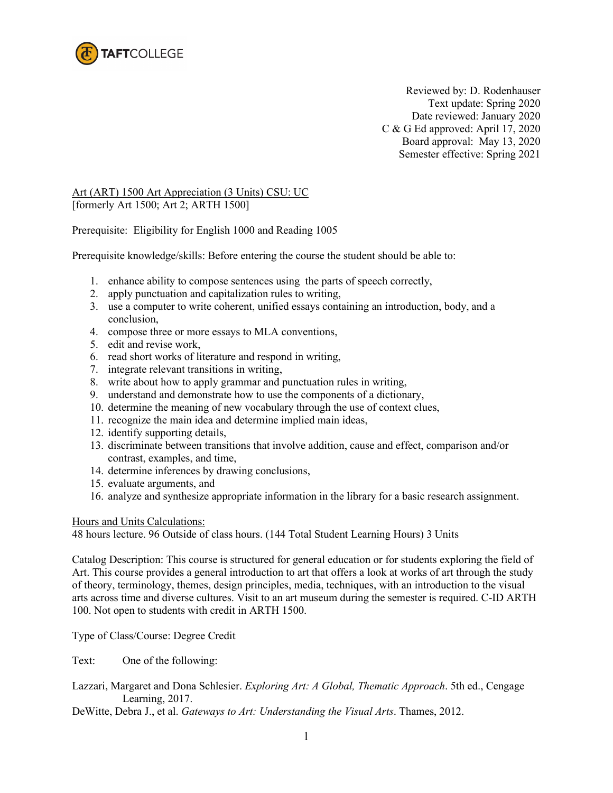

Reviewed by: D. Rodenhauser Text update: Spring 2020 Date reviewed: January 2020 C & G Ed approved: April 17, 2020 Board approval: May 13, 2020 Semester effective: Spring 2021

## Art (ART) 1500 Art Appreciation (3 Units) CSU: UC [formerly Art 1500; Art 2; ARTH 1500]

Prerequisite: Eligibility for English 1000 and Reading 1005

Prerequisite knowledge/skills: Before entering the course the student should be able to:

- 1. enhance ability to compose sentences using the parts of speech correctly,
- 2. apply punctuation and capitalization rules to writing,
- 3. use a computer to write coherent, unified essays containing an introduction, body, and a conclusion,
- 4. compose three or more essays to MLA conventions,
- 5. edit and revise work,
- 6. read short works of literature and respond in writing,
- 7. integrate relevant transitions in writing,
- 8. write about how to apply grammar and punctuation rules in writing,
- 9. understand and demonstrate how to use the components of a dictionary,
- 10. determine the meaning of new vocabulary through the use of context clues,
- 11. recognize the main idea and determine implied main ideas,
- 12. identify supporting details,
- 13. discriminate between transitions that involve addition, cause and effect, comparison and/or contrast, examples, and time,
- 14. determine inferences by drawing conclusions,
- 15. evaluate arguments, and
- 16. analyze and synthesize appropriate information in the library for a basic research assignment.

## Hours and Units Calculations:

48 hours lecture. 96 Outside of class hours. (144 Total Student Learning Hours) 3 Units

Catalog Description: This course is structured for general education or for students exploring the field of Art. This course provides a general introduction to art that offers a look at works of art through the study of theory, terminology, themes, design principles, media, techniques, with an introduction to the visual arts across time and diverse cultures. Visit to an art museum during the semester is required. C-ID ARTH 100. Not open to students with credit in ARTH 1500.

Type of Class/Course: Degree Credit

Text: One of the following:

- Lazzari, Margaret and Dona Schlesier. *Exploring Art: A Global, Thematic Approach*. 5th ed., Cengage Learning, 2017.
- DeWitte, Debra J., et al. *Gateways to Art: Understanding the Visual Arts*. Thames, 2012.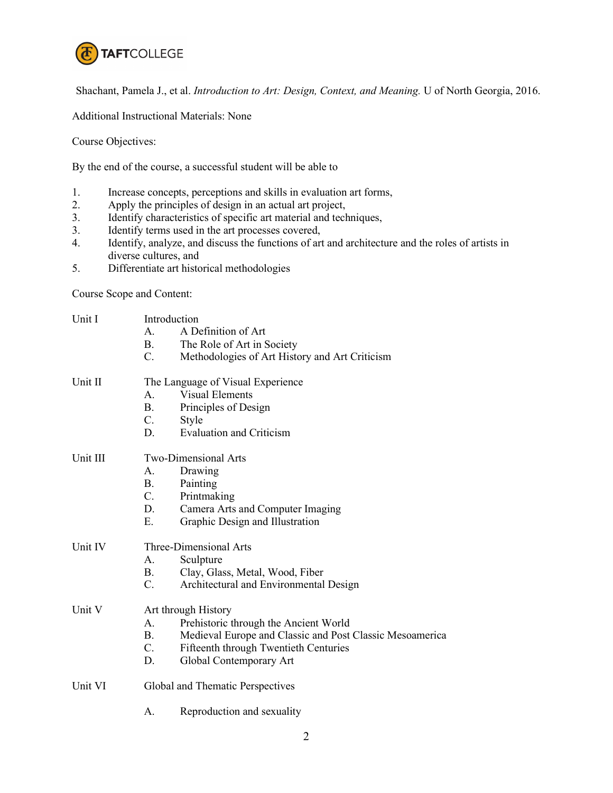

Shachant, Pamela J., et al. *Introduction to Art: Design, Context, and Meaning.* U of North Georgia, 2016.

Additional Instructional Materials: None

Course Objectives:

By the end of the course, a successful student will be able to

- 1. Increase concepts, perceptions and skills in evaluation art forms,<br>2. Apply the principles of design in an actual art project,
- Apply the principles of design in an actual art project,
- 3. Identify characteristics of specific art material and techniques,
- 3. Identify terms used in the art processes covered,
- 4. Identify, analyze, and discuss the functions of art and architecture and the roles of artists in diverse cultures, and
- 5. Differentiate art historical methodologies

Course Scope and Content:

| Unit I   | Introduction                      |                                                          |  |
|----------|-----------------------------------|----------------------------------------------------------|--|
|          | A.                                | A Definition of Art                                      |  |
|          | B.                                | The Role of Art in Society                               |  |
|          | $\mathbf{C}$ .                    | Methodologies of Art History and Art Criticism           |  |
| Unit II  | The Language of Visual Experience |                                                          |  |
|          | A.                                | <b>Visual Elements</b>                                   |  |
|          | <b>B.</b>                         | Principles of Design                                     |  |
|          | $C_{\cdot}$                       | Style                                                    |  |
|          | D.                                | <b>Evaluation and Criticism</b>                          |  |
| Unit III | Two-Dimensional Arts              |                                                          |  |
|          | Α.                                | Drawing                                                  |  |
|          | <b>B.</b>                         | Painting                                                 |  |
|          | $C_{\cdot}$                       | Printmaking                                              |  |
|          | D.                                | Camera Arts and Computer Imaging                         |  |
|          | E.                                | Graphic Design and Illustration                          |  |
| Unit IV  | Three-Dimensional Arts            |                                                          |  |
|          | A <sub>1</sub>                    | Sculpture                                                |  |
|          | <b>B.</b>                         | Clay, Glass, Metal, Wood, Fiber                          |  |
|          | $C_{\cdot}$                       | Architectural and Environmental Design                   |  |
| Unit V   | Art through History               |                                                          |  |
|          | $\mathsf{A}$ .                    | Prehistoric through the Ancient World                    |  |
|          | B.                                | Medieval Europe and Classic and Post Classic Mesoamerica |  |
|          | $C_{\cdot}$                       | Fifteenth through Twentieth Centuries                    |  |
|          | D.                                | Global Contemporary Art                                  |  |
| Unit VI  | Global and Thematic Perspectives  |                                                          |  |
|          | А.                                | Reproduction and sexuality                               |  |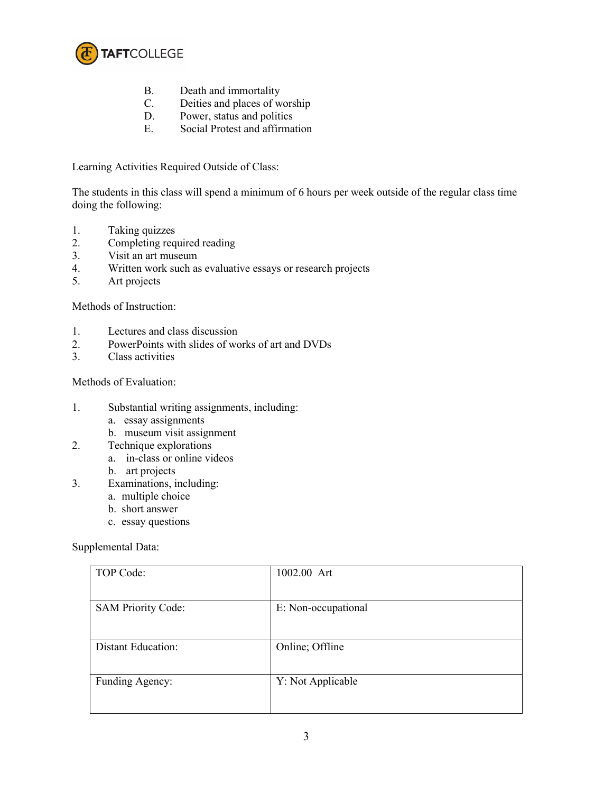

- B. Death and immortality
- C. Deities and places of worship
- D. Power, status and politics
- E. Social Protest and affirmation

Learning Activities Required Outside of Class:

The students in this class will spend a minimum of 6 hours per week outside of the regular class time doing the following:

- 1. Taking quizzes<br>2. Completing req
- Completing required reading
- 3. Visit an art museum
- 4. Written work such as evaluative essays or research projects
- 5. Art projects

Methods of Instruction:

- 1. Lectures and class discussion
- 2. PowerPoints with slides of works of art and DVDs
- 3. Class activities

Methods of Evaluation:

- 1. Substantial writing assignments, including:
	- a. essay assignments
	- b. museum visit assignment
- 2. Technique explorations
	- a. in-class or online videos
	- b. art projects
- 3. Examinations, including:
	- a. multiple choice
	- b. short answer
	- c. essay questions

Supplemental Data:

| TOP Code:                 | 1002.00 Art         |
|---------------------------|---------------------|
| <b>SAM Priority Code:</b> | E: Non-occupational |
| <b>Distant Education:</b> | Online; Offline     |
| Funding Agency:           | Y: Not Applicable   |